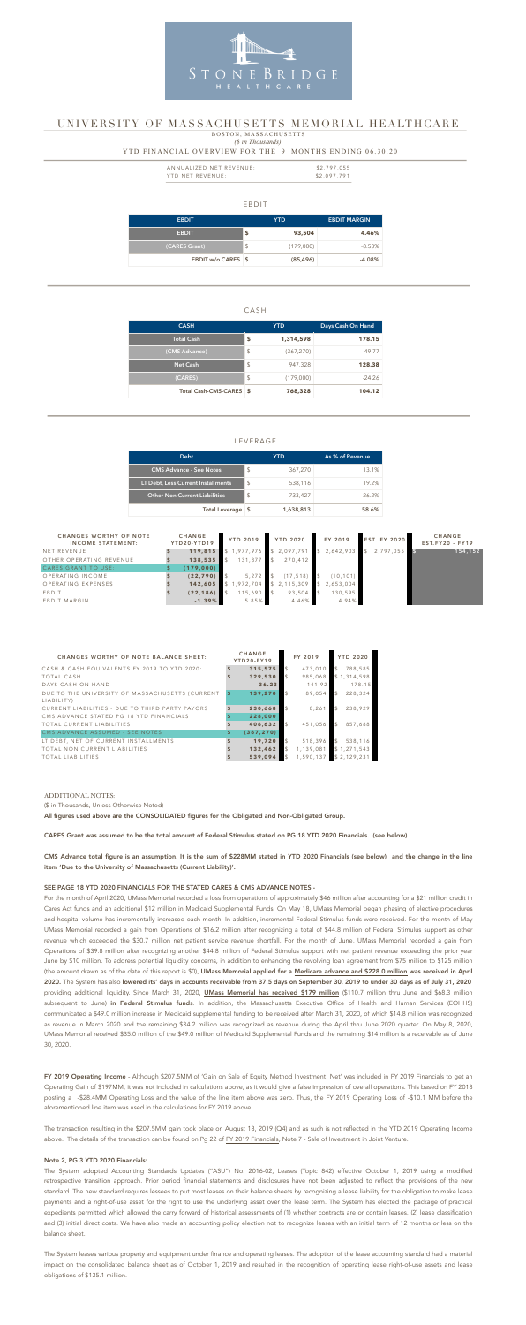### EBDIT

| <b>EBDIT</b>       | <b>YTD</b>    |           | <b>EBDIT MARGIN</b> |
|--------------------|---------------|-----------|---------------------|
| <b>EBDIT</b>       | \$            | 93,504    | 4.46%               |
| (CARES Grant)      | $\frac{1}{2}$ | (179,000) | $-8.53\%$           |
| EBDIT w/o CARES \$ |               | (85, 496) | $-4.08%$            |

 *(\$ in Thousands)*

### CASH

| <b>CASH</b>             |                         | <b>YTD</b> | Days Cash On Hand |  |  |
|-------------------------|-------------------------|------------|-------------------|--|--|
| <b>Total Cash</b>       | S                       | 1,314,598  | 178.15            |  |  |
| (CMS Advance)           | $\sqrt[6]{\frac{1}{2}}$ | (367, 270) | $-49.77$          |  |  |
| <b>Net Cash</b>         | $\sqrt[6]{\frac{1}{2}}$ | 947,328    | 128.38            |  |  |
| (CARES)                 | \$                      | (179,000)  | $-24.26$          |  |  |
| Total Cash-CMS-CARES \$ |                         | 768,328    | 104.12            |  |  |

| ANNUALIZED NET REVENUE: | \$2,797,055 |
|-------------------------|-------------|
| YTD NET REVENUE:        | \$2,097,791 |

### LEVERAGE

| <b>Debt</b>                          | <b>YTD</b>     |           | As % of Revenue |
|--------------------------------------|----------------|-----------|-----------------|
| <b>CMS Advance - See Notes</b>       | $\mathfrak{L}$ | 367,270   | 13.1%           |
| LT Debt, Less Current Installments   | $\mathfrak{L}$ | 538,116   | 19.2%           |
| <b>Other Non Current Liabilities</b> | $\mathfrak{L}$ | 733,427   | $26.2\%$        |
| <b>Total Leverage</b>                | ∣S.            | 1,638,813 | 58.6%           |

### YTD FINANCIAL OVERVIEW FOR THE 9 MONTHS ENDING 06.30.20



# UNIVERSITY OF MASSACHUSETTS MEMORIAL HEALTHCARE

BOSTON, MASSACHUSETTS

| <b>CHANGES WORTHY OF NOTE</b><br><b>INCOME STATEMENT:</b> | <b>CHANGE</b><br>YTD20-YTD19 | <b>YTD 2019</b> | <b>YTD 2020</b> | FY 2019   | <b>EST. FY 2020</b> | <b>CHANGE</b><br>EST.FY20 - FY19 |
|-----------------------------------------------------------|------------------------------|-----------------|-----------------|-----------|---------------------|----------------------------------|
| NET REVENUE                                               | 119,815                      | ,977,976        | 2,097,791       | 2,642,903 | \$2,797,055         | 154,152                          |
| OTHER OPERATING REVENUE                                   | 138,535                      | 131,877         | 270,412         |           |                     |                                  |
| CARES GRANT TO USE:                                       | (179, 000)                   |                 |                 |           |                     |                                  |
| OPERATING INCOME                                          | (22, 790)                    | 5,272           | (17, 518)       | (10, 101) |                     |                                  |
| OPERATING EXPENSES                                        | 142,605                      | ,972,704        | 2,115,309       | 2,653,004 |                     |                                  |
| EBDIT                                                     | (22, 186)                    | 115,690         | 93,504          | 130,595   |                     |                                  |
| EBDIT MARGIN                                              | $-1.39%$                     | 5.85%           | 4.46%           | 4.94%     |                     |                                  |

| <b>CHANGES WORTHY OF NOTE BALANCE SHEET:</b>                  |    | <b>CHANGE</b><br>YTD20-FY19 |                | FY 2019   |                | <b>YTD 2020</b> |
|---------------------------------------------------------------|----|-----------------------------|----------------|-----------|----------------|-----------------|
| CASH & CASH EQUIVALENTS FY 2019 TO YTD 2020:                  | S  | 315,575                     | $\mathfrak{L}$ | 473,010   | $\mathcal{S}$  | 788,585         |
| <b>TOTAL CASH</b>                                             |    | 329,530                     | $\mathfrak{L}$ | 985,068   |                | \$1,314,598     |
| DAYS CASH ON HAND                                             |    | 36.23                       |                | 141.92    |                | 178.15          |
| DUE TO THE UNIVERSITY OF MASSACHUSETTS (CURRENT<br>LIABILITY) | S  | 139,270                     |                | 89.054    | $\mathcal{S}$  | 228,324         |
| CURRENT LIABILITIES - DUE TO THIRD PARTY PAYORS               |    | 230,668                     |                | 8,261     | $\mathfrak{F}$ | 238,929         |
| CMS ADVANCE STATED PG 18 YTD FINANCIALS                       |    | 228,000                     |                |           |                |                 |
| <b>TOTAL CURRENT LIABILITIES</b>                              |    | 406,632                     | $\mathcal{S}$  | 451,056   | $\mathcal{L}$  | 857,688         |
| CMS ADVANCE ASSUMED - SEE NOTES                               | \$ | (367, 270)                  |                |           |                |                 |
| LT DEBT, NET OF CURRENT INSTALLMENTS                          |    | 19,720                      | $\mathfrak{L}$ | 518,396   | $\mathcal{L}$  | 538,116         |
| TOTAL NON CURRENT LIABILITIES                                 |    | 132,462                     | $\mathfrak{L}$ | 1,139,081 |                | \$1,271,543     |
| TOTAL LIABILITIES                                             |    | 539,094                     | $\mathfrak{L}$ | 1,590,137 |                | \$2,129,231     |

### ADDITIONAL NOTES:

(\$ in Thousands, Unless Otherwise Noted)

All figures used above are the CONSOLIDATED figures for the Obligated and Non-Obligated Group.

CARES Grant was assumed to be the total amount of Federal Stimulus stated on PG 18 YTD 2020 Financials. (see below)

CMS Advance total figure is an assumption. It is the sum of \$228MM stated in YTD 2020 Financials (see below) and the change in the line item 'Due to the University of Massachusetts (Current Liability)'.

### SEE PAGE 18 YTD 2020 FINANCIALS FOR THE STATED CARES & CMS ADVANCE NOTES -

FY 2019 Operating Income - Although \$207.5MM of 'Gain on Sale of Equity Method Investment, Net' was included in FY 2019 Financials to get an Operating Gain of \$197MM, it was not included in calculations above, as it would give a false impression of overall operations. This based on FY 2018 posting a -\$28.4MM Operating Loss and the value of the line item above was zero. Thus, the FY 2019 Operating Loss of -\$10.1 MM before the aforementioned line item was used in the calculations for FY 2019 above.

The transaction resulting in the \$207.5MM gain took place on August 18, 2019 (Q4) and as such is not reflected in the YTD 2019 Operating Income above. The details of the transaction can be found on Pg 22 of [FY 2019 Financials](https://emma.msrb.org/ER1285040-ER1002183-ER1405829.pdf), Note 7 - Sale of Investment in Joint Venture.

The System leases various property and equipment under finance and operating leases. The adoption of the lease accounting standard had a material impact on the consolidated balance sheet as of October 1, 2019 and resulted in the recognition of operating lease right-of-use assets and lease obligations of \$135.1 million.

For the month of April 2020, UMass Memorial recorded a loss from operations of approximately \$46 million after accounting for a \$21 million credit in Cares Act funds and an additional \$12 million in Medicaid Supplemental Funds. On May 18, UMass Memorial began phasing of elective procedures and hospital volume has incrementally increased each month. In addition, incremental Federal Stimulus funds were received. For the month of May UMass Memorial recorded a gain from Operations of \$16.2 million after recognizing a total of \$44.8 million of Federal Stimulus support as other revenue which exceeded the \$30.7 million net patient service revenue shortfall. For the month of June, UMass Memorial recorded a gain from Operations of \$39.8 million after recognizing another \$44.8 million of Federal Stimulus support with net patient revenue exceeding the prior year June by \$10 million. To address potential liquidity concerns, in addition to enhancing the revolving loan agreement from \$75 million to \$125 million (the amount drawn as of the date of this report is \$0), UMass Memorial applied for a Medicare advance and \$228.0 million was received in April 2020. The System has also lowered its' days in accounts receivable from 37.5 days on September 30, 2019 to under 30 days as of July 31, 2020 providing additional liquidity. Since March 31, 2020, *UMass Memorial has received \$179 million* (\$110.7 million thru June and \$68.3 million subsequent to June) in Federal Stimulus funds. In addition, the Massachusetts Executive Office of Health and Human Services (EOHHS) communicated a \$49.0 million increase in Medicaid supplemental funding to be received after March 31, 2020, of which \$14.8 million was recognized as revenue in March 2020 and the remaining \$34.2 million was recognized as revenue during the April thru June 2020 quarter. On May 8, 2020, UMass Memorial received \$35.0 million of the \$49.0 million of Medicaid Supplemental Funds and the remaining \$14 million is a receivable as of June 30, 2020.

#### Note 2, PG 3 YTD 2020 Financials:

The System adopted Accounting Standards Updates ("ASU") No. 2016-02, Leases (Topic 842) effective October 1, 2019 using a modified retrospective transition approach. Prior period financial statements and disclosures have not been adjusted to reflect the provisions of the new standard. The new standard requires lessees to put most leases on their balance sheets by recognizing a lease liability for the obligation to make lease payments and a right-of-use asset for the right to use the underlying asset over the lease term. The System has elected the package of practical expedients permitted which allowed the carry forward of historical assessments of (1) whether contracts are or contain leases, (2) lease classification and (3) initial direct costs. We have also made an accounting policy election not to recognize leases with an initial term of 12 months or less on the balance sheet.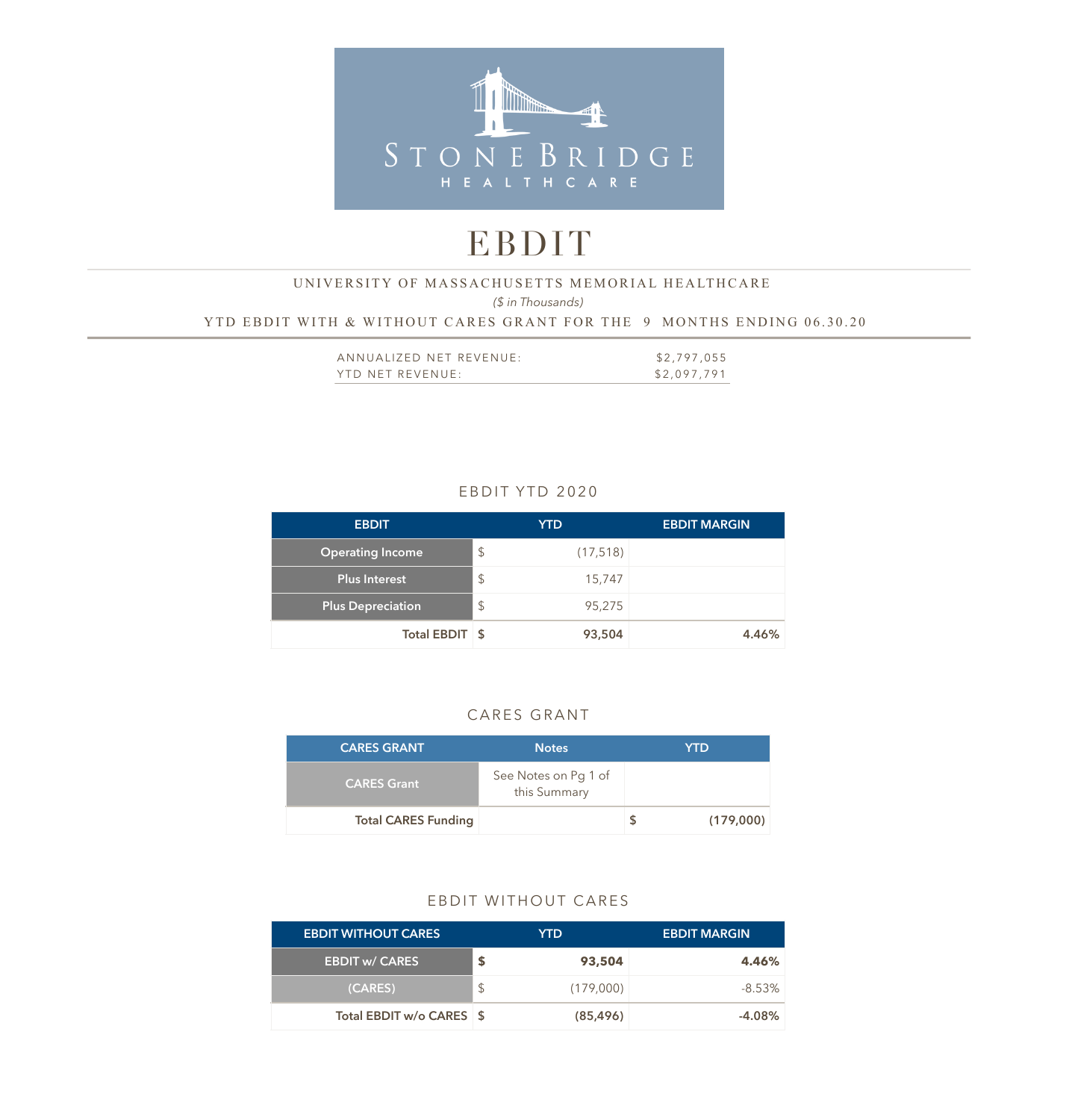

# EBDIT

## *(\$ in Thousands)*  YTD EBDIT WITH & WITHOUT CARES GRANT FOR THE 9 MONTHS ENDING 06.30.20 UNIVERSITY OF MASSACHUSETTS MEMORIAL HEALTHCARE

| ANNUALIZED NET REVENUE: | \$2,797,055 |
|-------------------------|-------------|
| YTD NET REVENUE:        | \$2,097,791 |

# EBDIT YTD 2020

| <b>EBDIT</b>             |               | <b>YTD</b> | <b>EBDIT MARGIN</b> |
|--------------------------|---------------|------------|---------------------|
| <b>Operating Income</b>  | $\sqrt{2}$    | (17, 518)  |                     |
| Plus Interest            | $\mathcal{S}$ | 15,747     |                     |
| <b>Plus Depreciation</b> | $\mathsf{\$}$ | 95,275     |                     |
| Total EBDIT \$           |               | 93,504     | 4.46%               |

# CARES GRANT

| <b>CARES GRANT</b>         | <b>Notes</b>                         | <b>YTD</b> |
|----------------------------|--------------------------------------|------------|
| <b>CARES Grant</b>         | See Notes on Pg 1 of<br>this Summary |            |
| <b>Total CARES Funding</b> |                                      | (179,000)  |

### EBDIT WITHOUT CARES

| <b>EBDIT WITHOUT CARES</b> | YTD. |           | <b>EBDIT MARGIN</b> |
|----------------------------|------|-----------|---------------------|
| <b>EBDIT w/ CARES</b>      |      | 93,504    | 4.46%               |
| (CARES)                    |      | (179,000) | $-8.53\%$           |
| Total EBDIT w/o CARES \$   |      | (85, 496) | $-4.08\%$           |